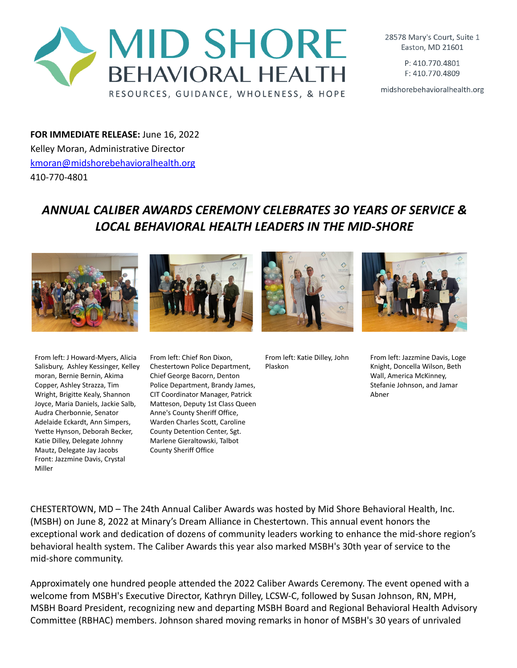

28578 Mary's Court, Suite 1 Easton, MD 21601

> P: 410.770.4801 F: 410.770.4809

midshorebehavioralhealth.org

**FOR IMMEDIATE RELEASE:** June 16, 2022 Kelley Moran, Administrative Director [kmoran@midshorebehavioralhealth.org](mailto:kmoran@midshorebehavioralhealth.org) 410-770-4801

## *ANNUAL CALIBER AWARDS CEREMONY CELEBRATES 3O YEARS OF SERVICE & LOCAL BEHAVIORAL HEALTH LEADERS IN THE MID-SHORE*





Plaskon

From left: Katie Dilley, John



From left: Jazzmine Davis, Loge Knight, Doncella Wilson, Beth Wall, America McKinney, Stefanie Johnson, and Jamar Abner

From left: J Howard-Myers, Alicia Salisbury, Ashley Kessinger, Kelley moran, Bernie Bernin, Akima Copper, Ashley Strazza, Tim Wright, Brigitte Kealy, Shannon Joyce, Maria Daniels, Jackie Salb, Audra Cherbonnie, Senator Adelaide Eckardt, Ann Simpers, Yvette Hynson, Deborah Becker, Katie Dilley, Delegate Johnny Mautz, Delegate Jay Jacobs Front: Jazzmine Davis, Crystal Miller

From left: Chief Ron Dixon, Chestertown Police Department, Chief George Bacorn, Denton Police Department, Brandy James, CIT Coordinator Manager, Patrick Matteson, Deputy 1st Class Queen Anne's County Sheriff Office, Warden Charles Scott, Caroline County Detention Center, Sgt. Marlene Gieraltowski, Talbot County Sheriff Office

CHESTERTOWN, MD – The 24th Annual Caliber Awards was hosted by Mid Shore Behavioral Health, Inc. (MSBH) on June 8, 2022 at Minary's Dream Alliance in Chestertown. This annual event honors the exceptional work and dedication of dozens of community leaders working to enhance the mid-shore region's behavioral health system. The Caliber Awards this year also marked MSBH's 30th year of service to the mid-shore community.

Approximately one hundred people attended the 2022 Caliber Awards Ceremony. The event opened with a welcome from MSBH's Executive Director, Kathryn Dilley, LCSW-C, followed by Susan Johnson, RN, MPH, MSBH Board President, recognizing new and departing MSBH Board and Regional Behavioral Health Advisory Committee (RBHAC) members. Johnson shared moving remarks in honor of MSBH's 30 years of unrivaled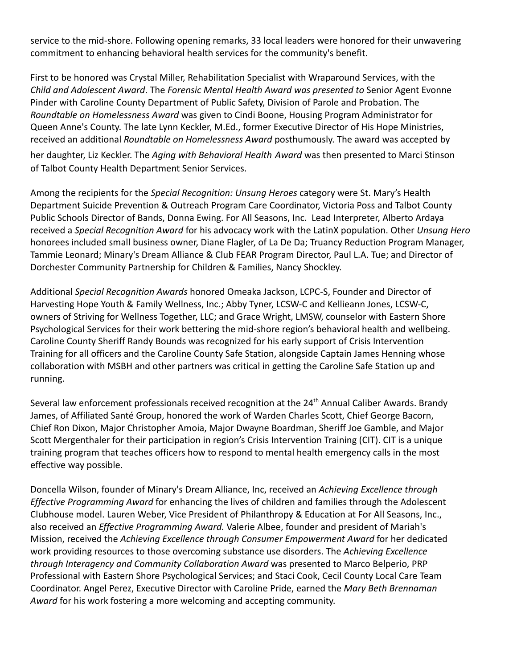service to the mid-shore. Following opening remarks, 33 local leaders were honored for their unwavering commitment to enhancing behavioral health services for the community's benefit.

First to be honored was Crystal Miller, Rehabilitation Specialist with Wraparound Services, with the *Child and Adolescent Award*. The *Forensic Mental Health Award was presented to* Senior Agent Evonne Pinder with Caroline County Department of Public Safety, Division of Parole and Probation. The *Roundtable on Homelessness Award* was given to Cindi Boone, Housing Program Administrator for Queen Anne's County. The late Lynn Keckler, M.Ed., former Executive Director of His Hope Ministries, received an additional *Roundtable on Homelessness Award* posthumously. The award was accepted by her daughter, Liz Keckler. The *Aging with Behavioral Health Award* was then presented to Marci Stinson of Talbot County Health Department Senior Services.

Among the recipients for the *Special Recognition: Unsung Heroes* category were St. Mary's Health Department Suicide Prevention & Outreach Program Care Coordinator, Victoria Poss and Talbot County Public Schools Director of Bands, Donna Ewing. For All Seasons, Inc. Lead Interpreter, Alberto Ardaya received a *Special Recognition Award* for his advocacy work with the LatinX population. Other *Unsung Hero* honorees included small business owner, Diane Flagler, of La De Da; Truancy Reduction Program Manager, Tammie Leonard; Minary's Dream Alliance & Club FEAR Program Director, Paul L.A. Tue; and Director of Dorchester Community Partnership for Children & Families, Nancy Shockley.

Additional *Special Recognition Awards* honored Omeaka Jackson, LCPC-S, Founder and Director of Harvesting Hope Youth & Family Wellness, Inc.; Abby Tyner, LCSW-C and Kellieann Jones, LCSW-C, owners of Striving for Wellness Together, LLC; and Grace Wright, LMSW, counselor with Eastern Shore Psychological Services for their work bettering the mid-shore region's behavioral health and wellbeing. Caroline County Sheriff Randy Bounds was recognized for his early support of Crisis Intervention Training for all officers and the Caroline County Safe Station, alongside Captain James Henning whose collaboration with MSBH and other partners was critical in getting the Caroline Safe Station up and running.

Several law enforcement professionals received recognition at the 24<sup>th</sup> Annual Caliber Awards. Brandy James, of Affiliated Santé Group, honored the work of Warden Charles Scott, Chief George Bacorn, Chief Ron Dixon, Major Christopher Amoia, Major Dwayne Boardman, Sheriff Joe Gamble, and Major Scott Mergenthaler for their participation in region's Crisis Intervention Training (CIT). CIT is a unique training program that teaches officers how to respond to mental health emergency calls in the most effective way possible.

Doncella Wilson, founder of Minary's Dream Alliance, Inc, received an *Achieving Excellence through Effective Programming Award* for enhancing the lives of children and families through the Adolescent Clubhouse model. Lauren Weber, Vice President of Philanthropy & Education at For All Seasons, Inc., also received an *Effective Programming Award.* Valerie Albee, founder and president of Mariah's Mission, received the *Achieving Excellence through Consumer Empowerment Award* for her dedicated work providing resources to those overcoming substance use disorders. The *Achieving Excellence through Interagency and Community Collaboration Award* was presented to Marco Belperio, PRP Professional with Eastern Shore Psychological Services; and Staci Cook, Cecil County Local Care Team Coordinator. Angel Perez, Executive Director with Caroline Pride, earned the *Mary Beth Brennaman Award* for his work fostering a more welcoming and accepting community.